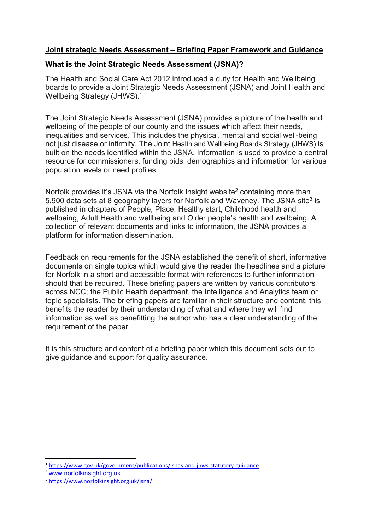# Joint strategic Needs Assessment – Briefing Paper Framework and Guidance

## What is the Joint Strategic Needs Assessment (JSNA)?

The Health and Social Care Act 2012 introduced a duty for Health and Wellbeing boards to provide a Joint Strategic Needs Assessment (JSNA) and Joint Health and Wellbeing Strategy (JHWS).<sup>1</sup>

The Joint Strategic Needs Assessment (JSNA) provides a picture of the health and wellbeing of the people of our county and the issues which affect their needs, inequalities and services. This includes the physical, mental and social well-being not just disease or infirmity. The Joint Health and Wellbeing Boards Strategy (JHWS) is built on the needs identified within the JSNA. Information is used to provide a central resource for commissioners, funding bids, demographics and information for various population levels or need profiles.

Norfolk provides it's JSNA via the Norfolk Insight website<sup>2</sup> containing more than 5,900 data sets at 8 geography layers for Norfolk and Waveney. The JSNA site<sup>3</sup> is published in chapters of People, Place, Healthy start, Childhood health and wellbeing, Adult Health and wellbeing and Older people's health and wellbeing. A collection of relevant documents and links to information, the JSNA provides a platform for information dissemination.

Feedback on requirements for the JSNA established the benefit of short, informative documents on single topics which would give the reader the headlines and a picture for Norfolk in a short and accessible format with references to further information should that be required. These briefing papers are written by various contributors across NCC; the Public Health department, the Intelligence and Analytics team or topic specialists. The briefing papers are familiar in their structure and content, this benefits the reader by their understanding of what and where they will find information as well as benefitting the author who has a clear understanding of the requirement of the paper.

It is this structure and content of a briefing paper which this document sets out to give guidance and support for quality assurance.

-

<sup>1</sup> https://www.gov.uk/government/publications/jsnas-and-jhws-statutory-guidance

<sup>2</sup> www.norfolkinsight.org.uk

<sup>3</sup> https://www.norfolkinsight.org.uk/jsna/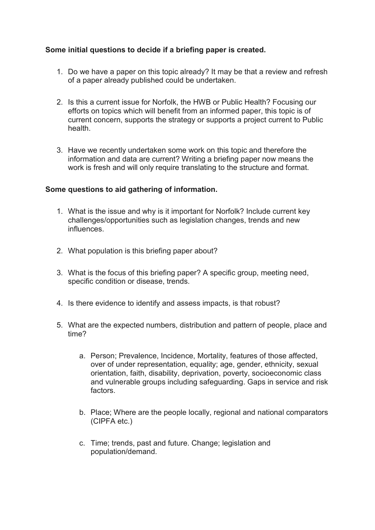## Some initial questions to decide if a briefing paper is created.

- 1. Do we have a paper on this topic already? It may be that a review and refresh of a paper already published could be undertaken.
- 2. Is this a current issue for Norfolk, the HWB or Public Health? Focusing our efforts on topics which will benefit from an informed paper, this topic is of current concern, supports the strategy or supports a project current to Public health.
- 3. Have we recently undertaken some work on this topic and therefore the information and data are current? Writing a briefing paper now means the work is fresh and will only require translating to the structure and format.

## Some questions to aid gathering of information.

- 1. What is the issue and why is it important for Norfolk? Include current key challenges/opportunities such as legislation changes, trends and new influences.
- 2. What population is this briefing paper about?
- 3. What is the focus of this briefing paper? A specific group, meeting need, specific condition or disease, trends.
- 4. Is there evidence to identify and assess impacts, is that robust?
- 5. What are the expected numbers, distribution and pattern of people, place and time?
	- a. Person; Prevalence, Incidence, Mortality, features of those affected, over of under representation, equality; age, gender, ethnicity, sexual orientation, faith, disability, deprivation, poverty, socioeconomic class and vulnerable groups including safeguarding. Gaps in service and risk factors.
	- b. Place; Where are the people locally, regional and national comparators (CIPFA etc.)
	- c. Time; trends, past and future. Change; legislation and population/demand.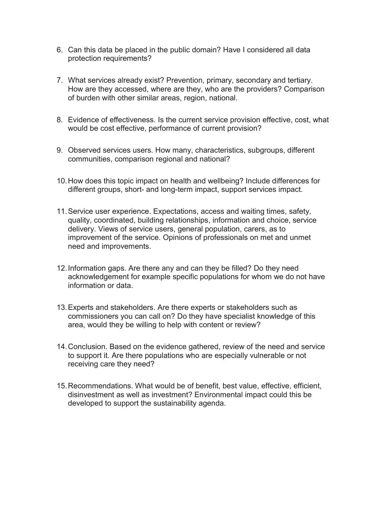- 6. Can this data be placed in the public domain? Have I considered all data protection requirements?
- 7. What services already exist? Prevention, primary, secondary and tertiary. How are they accessed, where are they, who are the providers? Comparison of burden with other similar areas, region, national.
- 8. Evidence of effectiveness. Is the current service provision effective, cost, what would be cost effective, performance of current provision?
- 9. Observed services users. How many, characteristics, subgroups, different communities, comparison regional and national?
- 10. How does this topic impact on health and wellbeing? Include differences for different groups, short- and long-term impact, support services impact.
- 11. Service user experience. Expectations, access and waiting times, safety, quality, coordinated, building relationships, information and choice, service delivery. Views of service users, general population, carers, as to improvement of the service. Opinions of professionals on met and unmet need and improvements.
- 12. Information gaps. Are there any and can they be filled? Do they need acknowledgement for example specific populations for whom we do not have information or data.
- 13. Experts and stakeholders. Are there experts or stakeholders such as commissioners you can call on? Do they have specialist knowledge of this area, would they be willing to help with content or review?
- 14. Conclusion. Based on the evidence gathered, review of the need and service to support it. Are there populations who are especially vulnerable or not receiving care they need?
- 15. Recommendations. What would be of benefit, best value, effective, efficient, disinvestment as well as investment? Environmental impact could this be developed to support the sustainability agenda.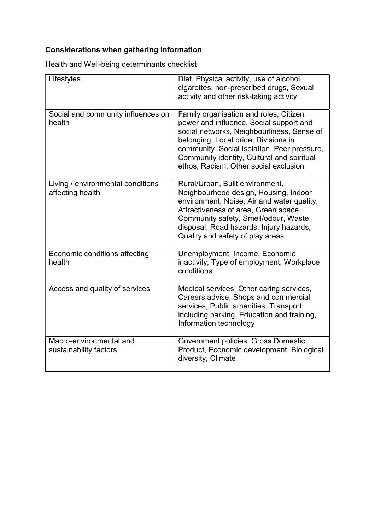# Considerations when gathering information

Health and Well-being determinants checklist

| Lifestyles                                            | Diet, Physical activity, use of alcohol,<br>cigarettes, non-prescribed drugs, Sexual<br>activity and other risk-taking activity                                                                                                                                                                               |
|-------------------------------------------------------|---------------------------------------------------------------------------------------------------------------------------------------------------------------------------------------------------------------------------------------------------------------------------------------------------------------|
| Social and community influences on<br>health          | Family organisation and roles, Citizen<br>power and influence, Social support and<br>social networks, Neighbourliness, Sense of<br>belonging, Local pride, Divisions in<br>community, Social Isolation, Peer pressure,<br>Community identity, Cultural and spiritual<br>ethos, Racism, Other social exclusion |
| Living / environmental conditions<br>affecting health | Rural/Urban, Built environment,<br>Neighbourhood design, Housing, Indoor<br>environment, Noise, Air and water quality,<br>Attractiveness of area, Green space,<br>Community safety, Smell/odour, Waste<br>disposal, Road hazards, Injury hazards,<br>Quality and safety of play areas                         |
| Economic conditions affecting<br>health               | Unemployment, Income, Economic<br>inactivity, Type of employment, Workplace<br>conditions                                                                                                                                                                                                                     |
| Access and quality of services                        | Medical services, Other caring services,<br>Careers advise, Shops and commercial<br>services, Public amenities, Transport<br>including parking, Education and training,<br>Information technology                                                                                                             |
| Macro-environmental and<br>sustainability factors     | Government policies, Gross Domestic<br>Product, Economic development, Biological<br>diversity, Climate                                                                                                                                                                                                        |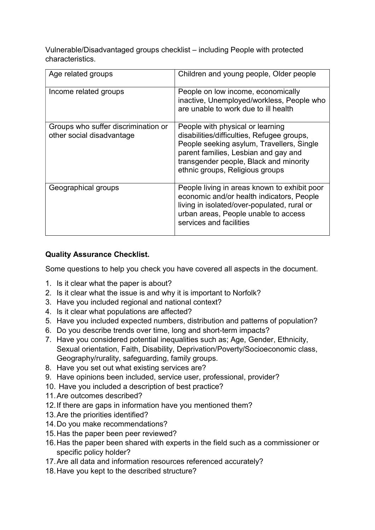Vulnerable/Disadvantaged groups checklist – including People with protected characteristics.

| Age related groups                                               | Children and young people, Older people                                                                                                                                                                                                          |
|------------------------------------------------------------------|--------------------------------------------------------------------------------------------------------------------------------------------------------------------------------------------------------------------------------------------------|
| Income related groups                                            | People on low income, economically<br>inactive, Unemployed/workless, People who<br>are unable to work due to ill health                                                                                                                          |
| Groups who suffer discrimination or<br>other social disadvantage | People with physical or learning<br>disabilities/difficulties, Refugee groups,<br>People seeking asylum, Travellers, Single<br>parent families, Lesbian and gay and<br>transgender people, Black and minority<br>ethnic groups, Religious groups |
| Geographical groups                                              | People living in areas known to exhibit poor<br>economic and/or health indicators, People<br>living in isolated/over-populated, rural or<br>urban areas, People unable to access<br>services and facilities                                      |

# Quality Assurance Checklist.

Some questions to help you check you have covered all aspects in the document.

- 1. Is it clear what the paper is about?
- 2. Is it clear what the issue is and why it is important to Norfolk?
- 3. Have you included regional and national context?
- 4. Is it clear what populations are affected?
- 5. Have you included expected numbers, distribution and patterns of population?
- 6. Do you describe trends over time, long and short-term impacts?
- 7. Have you considered potential inequalities such as; Age, Gender, Ethnicity, Sexual orientation, Faith, Disability, Deprivation/Poverty/Socioeconomic class, Geography/rurality, safeguarding, family groups.
- 8. Have you set out what existing services are?
- 9. Have opinions been included, service user, professional, provider?
- 10. Have you included a description of best practice?
- 11. Are outcomes described?
- 12. If there are gaps in information have you mentioned them?
- 13. Are the priorities identified?
- 14. Do you make recommendations?
- 15. Has the paper been peer reviewed?
- 16. Has the paper been shared with experts in the field such as a commissioner or specific policy holder?
- 17. Are all data and information resources referenced accurately?
- 18. Have you kept to the described structure?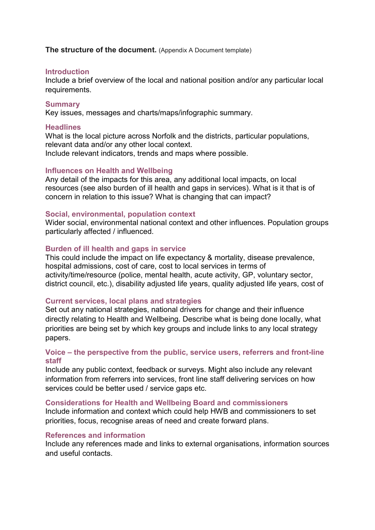The structure of the document. (Appendix A Document template)

#### **Introduction**

Include a brief overview of the local and national position and/or any particular local requirements.

#### **Summary**

Key issues, messages and charts/maps/infographic summary.

#### **Headlines**

What is the local picture across Norfolk and the districts, particular populations, relevant data and/or any other local context. Include relevant indicators, trends and maps where possible.

#### Influences on Health and Wellbeing

Any detail of the impacts for this area, any additional local impacts, on local resources (see also burden of ill health and gaps in services). What is it that is of concern in relation to this issue? What is changing that can impact?

#### Social, environmental, population context

Wider social, environmental national context and other influences. Population groups particularly affected / influenced.

#### Burden of ill health and gaps in service

This could include the impact on life expectancy & mortality, disease prevalence, hospital admissions, cost of care, cost to local services in terms of activity/time/resource (police, mental health, acute activity, GP, voluntary sector, district council, etc.), disability adjusted life years, quality adjusted life years, cost of

## Current services, local plans and strategies

Set out any national strategies, national drivers for change and their influence directly relating to Health and Wellbeing. Describe what is being done locally, what priorities are being set by which key groups and include links to any local strategy papers.

#### Voice – the perspective from the public, service users, referrers and front-line staff

Include any public context, feedback or surveys. Might also include any relevant information from referrers into services, front line staff delivering services on how services could be better used / service gaps etc.

#### Considerations for Health and Wellbeing Board and commissioners

Include information and context which could help HWB and commissioners to set priorities, focus, recognise areas of need and create forward plans.

## References and information

Include any references made and links to external organisations, information sources and useful contacts.